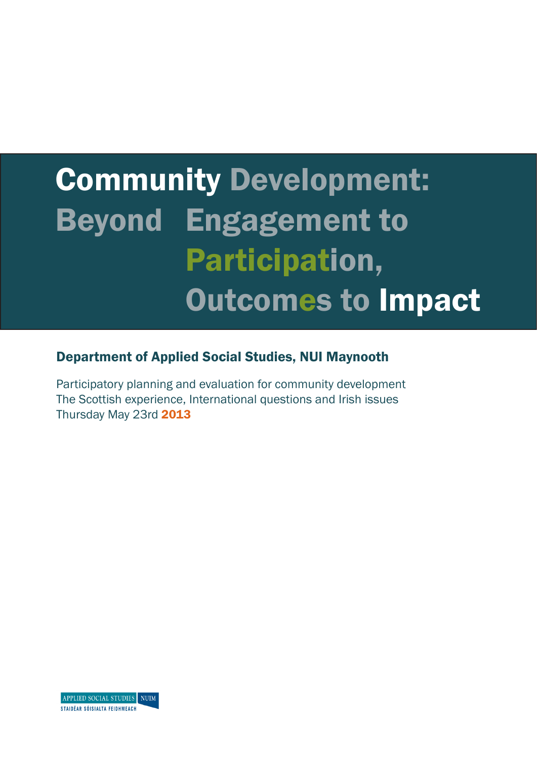# Community Development: Beyond Engagement to Participation, Outcomes to Impact

# Department of Applied Social Studies, NUI Maynooth

Participatory planning and evaluation for community development The Scottish experience, International questions and Irish issues Thursday May 23rd 2013

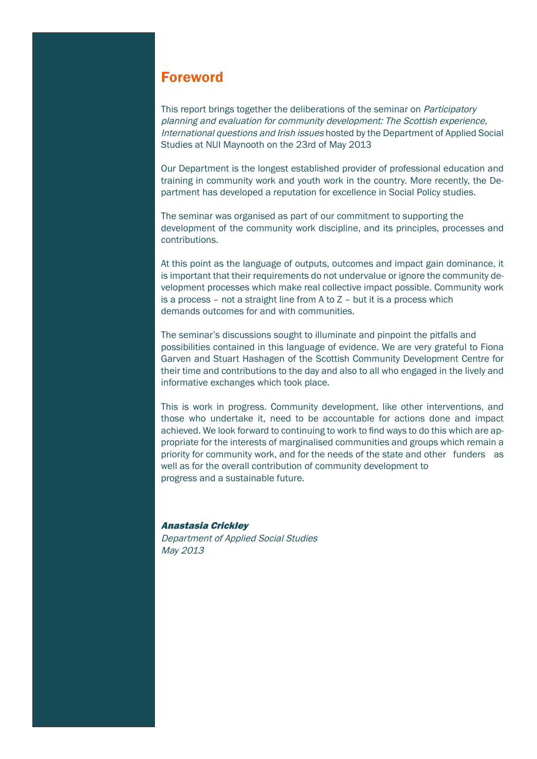# Foreword

This report brings together the deliberations of the seminar on *Participatory* planning and evaluation for community development: The Scottish experience, International questions and Irish issues hosted by the Department of Applied Social Studies at NUI Maynooth on the 23rd of May 2013

Our Department is the longest established provider of professional education and training in community work and youth work in the country. More recently, the Department has developed a reputation for excellence in Social Policy studies.

The seminar was organised as part of our commitment to supporting the development of the community work discipline, and its principles, processes and contributions.

At this point as the language of outputs, outcomes and impact gain dominance, it is important that their requirements do not undervalue or ignore the community development processes which make real collective impact possible. Community work is a process – not a straight line from A to Z – but it is a process which demands outcomes for and with communities.

The seminar's discussions sought to illuminate and pinpoint the pitfalls and possibilities contained in this language of evidence. We are very grateful to Fiona Garven and Stuart Hashagen of the Scottish Community Development Centre for their time and contributions to the day and also to all who engaged in the lively and informative exchanges which took place.

This is work in progress. Community development, like other interventions, and those who undertake it, need to be accountable for actions done and impact achieved. We look forward to continuing to work to find ways to do this which are appropriate for the interests of marginalised communities and groups which remain a priority for community work, and for the needs of the state and other funders as well as for the overall contribution of community development to progress and a sustainable future.

#### Anastasia Crickley

Department of Applied Social Studies May 2013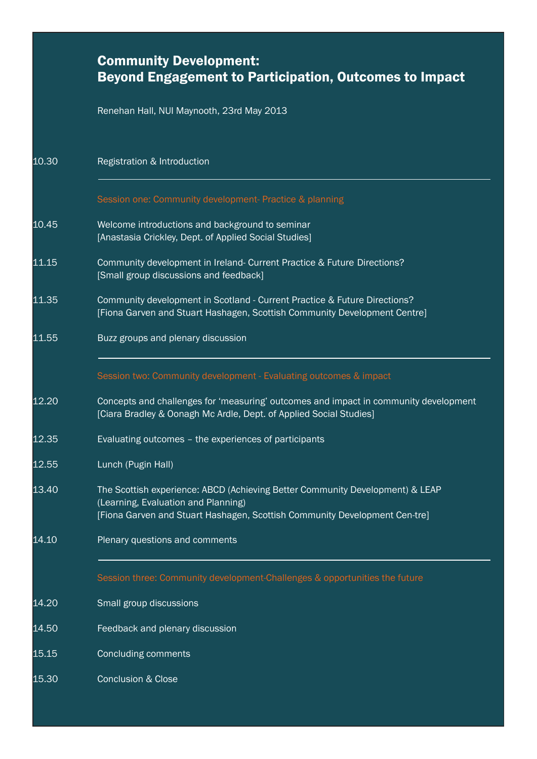|       | <b>Community Development:</b><br><b>Beyond Engagement to Participation, Outcomes to Impact</b>                                                                                                     |
|-------|----------------------------------------------------------------------------------------------------------------------------------------------------------------------------------------------------|
|       | Renehan Hall, NUI Maynooth, 23rd May 2013                                                                                                                                                          |
| 10.30 | Registration & Introduction                                                                                                                                                                        |
|       | Session one: Community development- Practice & planning                                                                                                                                            |
| 10.45 | Welcome introductions and background to seminar<br>[Anastasia Crickley, Dept. of Applied Social Studies]                                                                                           |
| 11.15 | Community development in Ireland- Current Practice & Future Directions?<br>[Small group discussions and feedback]                                                                                  |
| 11.35 | Community development in Scotland - Current Practice & Future Directions?<br>[Fiona Garven and Stuart Hashagen, Scottish Community Development Centre]                                             |
| 11.55 | Buzz groups and plenary discussion                                                                                                                                                                 |
|       | Session two: Community development - Evaluating outcomes & impact                                                                                                                                  |
| 12.20 | Concepts and challenges for 'measuring' outcomes and impact in community development<br>[Ciara Bradley & Oonagh Mc Ardle, Dept. of Applied Social Studies]                                         |
| 12.35 | Evaluating outcomes - the experiences of participants                                                                                                                                              |
| 12.55 | Lunch (Pugin Hall)                                                                                                                                                                                 |
| 13.40 | The Scottish experience: ABCD (Achieving Better Community Development) & LEAP<br>(Learning, Evaluation and Planning)<br>[Fiona Garven and Stuart Hashagen, Scottish Community Development Cen-tre] |
| 14.10 | Plenary questions and comments                                                                                                                                                                     |
|       | Session three: Community development-Challenges & opportunities the future                                                                                                                         |
| 14.20 | Small group discussions                                                                                                                                                                            |
| 14.50 | Feedback and plenary discussion                                                                                                                                                                    |
| 15.15 | <b>Concluding comments</b>                                                                                                                                                                         |
| 15.30 | <b>Conclusion &amp; Close</b>                                                                                                                                                                      |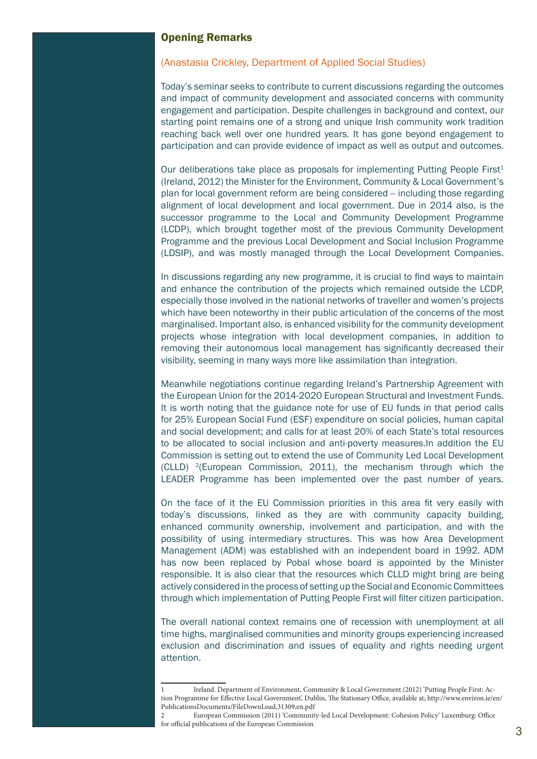#### Opening Remarks

#### (Anastasia Crickley, Department of Applied Social Studies)

Today's seminar seeks to contribute to current discussions regarding the outcomes and impact of community development and associated concerns with community engagement and participation. Despite challenges in background and context, our starting point remains one of a strong and unique Irish community work tradition reaching back well over one hundred years. It has gone beyond engagement to participation and can provide evidence of impact as well as output and outcomes.

Our deliberations take place as proposals for implementing Putting People First<sup>1</sup> (Ireland, 2012) the Minister for the Environment, Community & Local Government's plan for local government reform are being considered -- including those regarding alignment of local development and local government. Due in 2014 also, is the successor programme to the Local and Community Development Programme (LCDP), which brought together most of the previous Community Development Programme and the previous Local Development and Social Inclusion Programme (LDSIP), and was mostly managed through the Local Development Companies.

In discussions regarding any new programme, it is crucial to find ways to maintain and enhance the contribution of the projects which remained outside the LCDP, especially those involved in the national networks of traveller and women's projects which have been noteworthy in their public articulation of the concerns of the most marginalised. Important also, is enhanced visibility for the community development projects whose integration with local development companies, in addition to removing their autonomous local management has significantly decreased their visibility, seeming in many ways more like assimilation than integration.

Meanwhile negotiations continue regarding Ireland's Partnership Agreement with the European Union for the 2014-2020 European Structural and Investment Funds. It is worth noting that the guidance note for use of EU funds in that period calls for 25% European Social Fund (ESF) expenditure on social policies, human capital and social development; and calls for at least 20% of each State's total resources to be allocated to social inclusion and anti-poverty measures.In addition the EU Commission is setting out to extend the use of Community Led Local Development (CLLD)  $^{2}$ (European Commission, 2011), the mechanism through which the LEADER Programme has been implemented over the past number of years.

On the face of it the EU Commission priorities in this area fit very easily with today's discussions, linked as they are with community capacity building, enhanced community ownership, involvement and participation, and with the possibility of using intermediary structures. This was how Area Development Management (ADM) was established with an independent board in 1992. ADM has now been replaced by Pobal whose board is appointed by the Minister responsible. It is also clear that the resources which CLLD might bring are being actively considered in the process of setting up the Social and Economic Committees through which implementation of Putting People First will filter citizen participation.

The overall national context remains one of recession with unemployment at all time highs, marginalised communities and minority groups experiencing increased exclusion and discrimination and issues of equality and rights needing urgent attention.

<sup>1</sup> Ireland. Department of Environment, Community & Local Government (2012) 'Putting People First: Action Programme for Effective Local Government', Dublin, The Stationary Office, available at; http://www.environ.ie/en/ PublicationsDocuments/FileDownLoad,31309,en.pdf

<sup>2</sup> European Commission (2011) 'Community-led Local Development: Cohesion Policy' Luxemburg: Office for official publications of the European Commission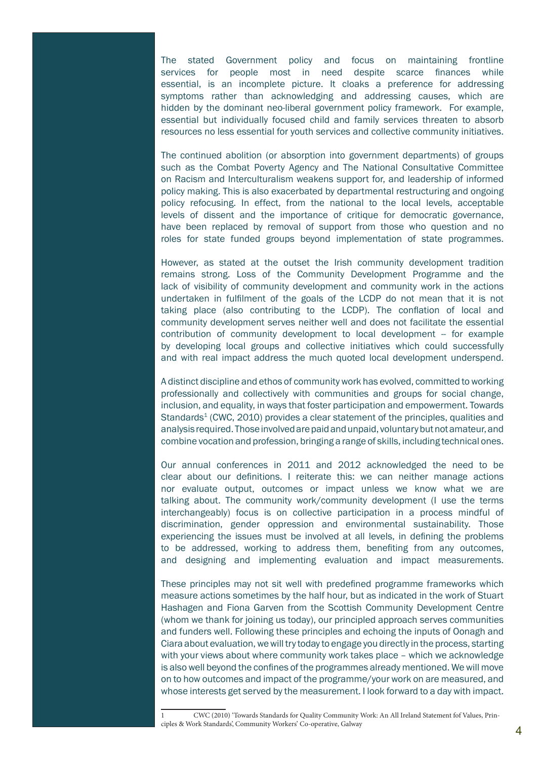The stated Government policy and focus on maintaining frontline services for people most in need despite scarce finances while essential, is an incomplete picture. It cloaks a preference for addressing symptoms rather than acknowledging and addressing causes, which are hidden by the dominant neo-liberal government policy framework. For example, essential but individually focused child and family services threaten to absorb resources no less essential for youth services and collective community initiatives.

The continued abolition (or absorption into government departments) of groups such as the Combat Poverty Agency and The National Consultative Committee on Racism and Interculturalism weakens support for, and leadership of informed policy making. This is also exacerbated by departmental restructuring and ongoing policy refocusing. In effect, from the national to the local levels, acceptable levels of dissent and the importance of critique for democratic governance, have been replaced by removal of support from those who question and no roles for state funded groups beyond implementation of state programmes.

However, as stated at the outset the Irish community development tradition remains strong. Loss of the Community Development Programme and the lack of visibility of community development and community work in the actions undertaken in fulfilment of the goals of the LCDP do not mean that it is not taking place (also contributing to the LCDP). The conflation of local and community development serves neither well and does not facilitate the essential contribution of community development to local development -- for example by developing local groups and collective initiatives which could successfully and with real impact address the much quoted local development underspend.

A distinct discipline and ethos of community work has evolved, committed to working professionally and collectively with communities and groups for social change, inclusion, and equality, in ways that foster participation and empowerment. Towards Standards<sup>1</sup> (CWC, 2010) provides a clear statement of the principles, qualities and analysis required. Those involved are paid and unpaid, voluntary but not amateur, and combine vocation and profession, bringing a range of skills, including technical ones.

Our annual conferences in 2011 and 2012 acknowledged the need to be clear about our definitions. I reiterate this: we can neither manage actions nor evaluate output, outcomes or impact unless we know what we are talking about. The community work/community development (I use the terms interchangeably) focus is on collective participation in a process mindful of discrimination, gender oppression and environmental sustainability. Those experiencing the issues must be involved at all levels, in defining the problems to be addressed, working to address them, benefiting from any outcomes, and designing and implementing evaluation and impact measurements.

These principles may not sit well with predefined programme frameworks which measure actions sometimes by the half hour, but as indicated in the work of Stuart Hashagen and Fiona Garven from the Scottish Community Development Centre (whom we thank for joining us today), our principled approach serves communities and funders well. Following these principles and echoing the inputs of Oonagh and Ciara about evaluation, we will try today to engage you directly in the process, starting with your views about where community work takes place – which we acknowledge is also well beyond the confines of the programmes already mentioned. We will move on to how outcomes and impact of the programme/your work on are measured, and whose interests get served by the measurement. I look forward to a day with impact.

<sup>1</sup> CWC (2010) 'Towards Standards for Quality Community Work: An All Ireland Statement fof Values, Principles & Work Standards', Community Workers' Co-operative, Galway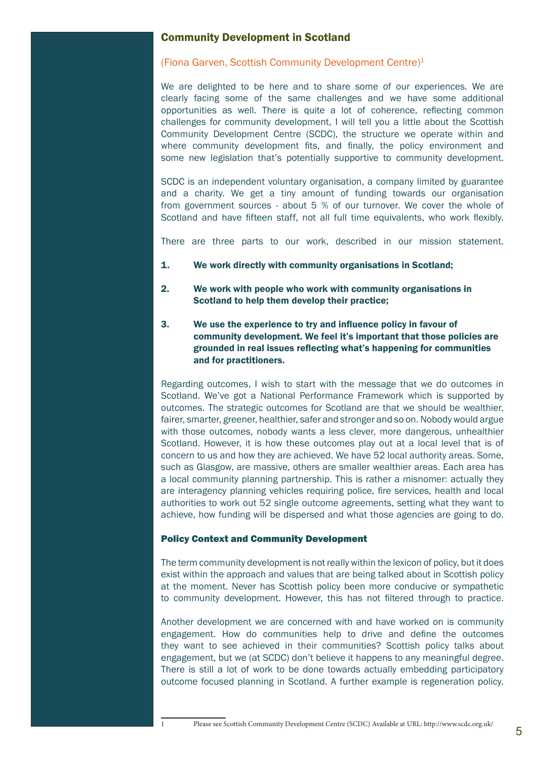## Community Development in Scotland

#### (Fiona Garven, Scottish Community Development Centre)1

We are delighted to be here and to share some of our experiences. We are clearly facing some of the same challenges and we have some additional opportunities as well. There is quite a lot of coherence, reflecting common challenges for community development, I will tell you a little about the Scottish Community Development Centre (SCDC), the structure we operate within and where community development fits, and finally, the policy environment and some new legislation that's potentially supportive to community development.

SCDC is an independent voluntary organisation, a company limited by guarantee and a charity. We get a tiny amount of funding towards our organisation from government sources - about 5 % of our turnover. We cover the whole of Scotland and have fifteen staff, not all full time equivalents, who work flexibly.

There are three parts to our work, described in our mission statement.

- 1. We work directly with community organisations in Scotland;
- 2. We work with people who work with community organisations in Scotland to help them develop their practice;
- 3. We use the experience to try and influence policy in favour of community development. We feel it's important that those policies are grounded in real issues reflecting what's happening for communities and for practitioners.

Regarding outcomes, I wish to start with the message that we do outcomes in Scotland. We've got a National Performance Framework which is supported by outcomes. The strategic outcomes for Scotland are that we should be wealthier, fairer, smarter, greener, healthier, safer and stronger and so on. Nobody would argue with those outcomes, nobody wants a less clever, more dangerous, unhealthier Scotland. However, it is how these outcomes play out at a local level that is of concern to us and how they are achieved. We have 52 local authority areas. Some, such as Glasgow, are massive, others are smaller wealthier areas. Each area has a local community planning partnership. This is rather a misnomer: actually they are interagency planning vehicles requiring police, fire services, health and local authorities to work out 52 single outcome agreements, setting what they want to achieve, how funding will be dispersed and what those agencies are going to do.

#### Policy Context and Community Development

The term community development is not really within the lexicon of policy, but it does exist within the approach and values that are being talked about in Scottish policy at the moment. Never has Scottish policy been more conducive or sympathetic to community development. However, this has not filtered through to practice.

Another development we are concerned with and have worked on is community engagement. How do communities help to drive and define the outcomes they want to see achieved in their communities? Scottish policy talks about engagement, but we (at SCDC) don't believe it happens to any meaningful degree. There is still a lot of work to be done towards actually embedding participatory outcome focused planning in Scotland. A further example is regeneration policy.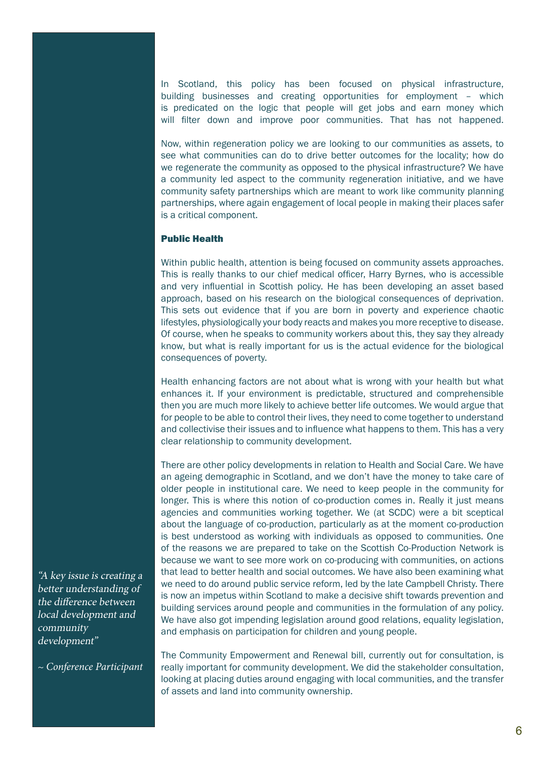In Scotland, this policy has been focused on physical infrastructure, building businesses and creating opportunities for employment – which is predicated on the logic that people will get jobs and earn money which will filter down and improve poor communities. That has not happened.

Now, within regeneration policy we are looking to our communities as assets, to see what communities can do to drive better outcomes for the locality; how do we regenerate the community as opposed to the physical infrastructure? We have a community led aspect to the community regeneration initiative, and we have community safety partnerships which are meant to work like community planning partnerships, where again engagement of local people in making their places safer is a critical component.

#### Public Health

Within public health, attention is being focused on community assets approaches. This is really thanks to our chief medical officer, Harry Byrnes, who is accessible and very influential in Scottish policy. He has been developing an asset based approach, based on his research on the biological consequences of deprivation. This sets out evidence that if you are born in poverty and experience chaotic lifestyles, physiologically your body reacts and makes you more receptive to disease. Of course, when he speaks to community workers about this, they say they already know, but what is really important for us is the actual evidence for the biological consequences of poverty.

Health enhancing factors are not about what is wrong with your health but what enhances it. If your environment is predictable, structured and comprehensible then you are much more likely to achieve better life outcomes. We would argue that for people to be able to control their lives, they need to come together to understand and collectivise their issues and to influence what happens to them. This has a very clear relationship to community development.

There are other policy developments in relation to Health and Social Care. We have an ageing demographic in Scotland, and we don't have the money to take care of older people in institutional care. We need to keep people in the community for longer. This is where this notion of co-production comes in. Really it just means agencies and communities working together. We (at SCDC) were a bit sceptical about the language of co-production, particularly as at the moment co-production is best understood as working with individuals as opposed to communities. One of the reasons we are prepared to take on the Scottish Co-Production Network is because we want to see more work on co-producing with communities, on actions that lead to better health and social outcomes. We have also been examining what we need to do around public service reform, led by the late Campbell Christy. There is now an impetus within Scotland to make a decisive shift towards prevention and building services around people and communities in the formulation of any policy. We have also got impending legislation around good relations, equality legislation, and emphasis on participation for children and young people.

The Community Empowerment and Renewal bill, currently out for consultation, is really important for community development. We did the stakeholder consultation, looking at placing duties around engaging with local communities, and the transfer of assets and land into community ownership.

"A key issue is creating a better understanding of the difference between local development and community development"

*~ Conference Participant*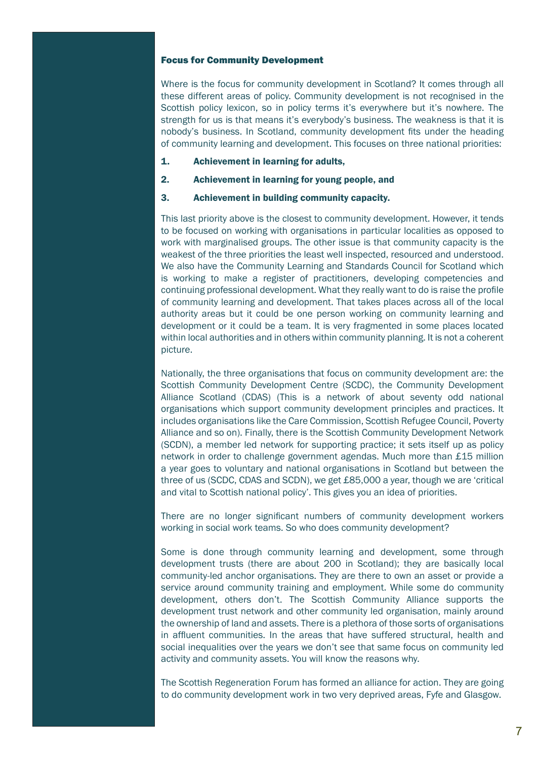#### Focus for Community Development

Where is the focus for community development in Scotland? It comes through all these different areas of policy. Community development is not recognised in the Scottish policy lexicon, so in policy terms it's everywhere but it's nowhere. The strength for us is that means it's everybody's business. The weakness is that it is nobody's business. In Scotland, community development fits under the heading of community learning and development. This focuses on three national priorities:

- 1. Achievement in learning for adults,
- 2. Achievement in learning for young people, and
- 3. Achievement in building community capacity.

This last priority above is the closest to community development. However, it tends to be focused on working with organisations in particular localities as opposed to work with marginalised groups. The other issue is that community capacity is the weakest of the three priorities the least well inspected, resourced and understood. We also have the Community Learning and Standards Council for Scotland which is working to make a register of practitioners, developing competencies and continuing professional development. What they really want to do is raise the profile of community learning and development. That takes places across all of the local authority areas but it could be one person working on community learning and development or it could be a team. It is very fragmented in some places located within local authorities and in others within community planning. It is not a coherent picture.

Nationally, the three organisations that focus on community development are: the Scottish Community Development Centre (SCDC), the Community Development Alliance Scotland (CDAS) (This is a network of about seventy odd national organisations which support community development principles and practices. It includes organisations like the Care Commission, Scottish Refugee Council, Poverty Alliance and so on). Finally, there is the Scottish Community Development Network (SCDN), a member led network for supporting practice; it sets itself up as policy network in order to challenge government agendas. Much more than £15 million a year goes to voluntary and national organisations in Scotland but between the three of us (SCDC, CDAS and SCDN), we get £85,000 a year, though we are 'critical and vital to Scottish national policy'. This gives you an idea of priorities.

There are no longer significant numbers of community development workers working in social work teams. So who does community development?

Some is done through community learning and development, some through development trusts (there are about 200 in Scotland); they are basically local community-led anchor organisations. They are there to own an asset or provide a service around community training and employment. While some do community development, others don't. The Scottish Community Alliance supports the development trust network and other community led organisation, mainly around the ownership of land and assets. There is a plethora of those sorts of organisations in affluent communities. In the areas that have suffered structural, health and social inequalities over the years we don't see that same focus on community led activity and community assets. You will know the reasons why.

The Scottish Regeneration Forum has formed an alliance for action. They are going to do community development work in two very deprived areas, Fyfe and Glasgow.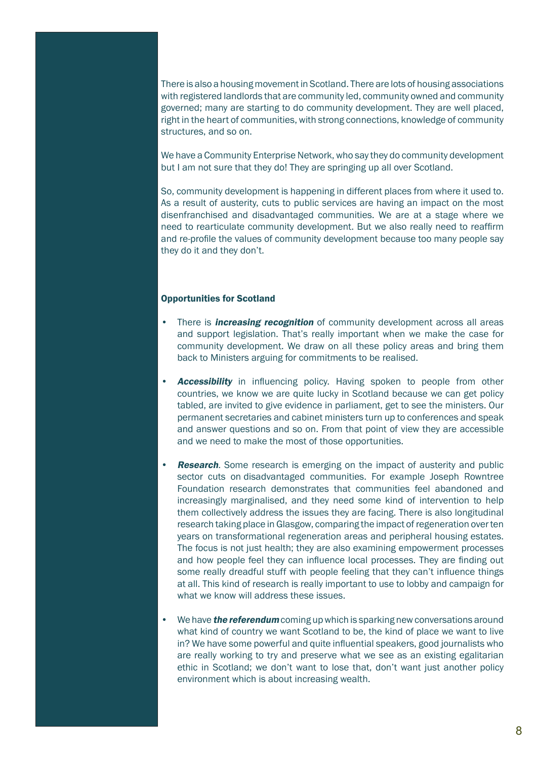There is also a housing movement in Scotland. There are lots of housing associations with registered landlords that are community led, community owned and community governed; many are starting to do community development. They are well placed, right in the heart of communities, with strong connections, knowledge of community structures, and so on.

We have a Community Enterprise Network, who say they do community development but I am not sure that they do! They are springing up all over Scotland.

So, community development is happening in different places from where it used to. As a result of austerity, cuts to public services are having an impact on the most disenfranchised and disadvantaged communities. We are at a stage where we need to rearticulate community development. But we also really need to reaffirm and re-profile the values of community development because too many people say they do it and they don't.

#### Opportunities for Scotland

- There is *increasing recognition* of community development across all areas and support legislation. That's really important when we make the case for community development. We draw on all these policy areas and bring them back to Ministers arguing for commitments to be realised.
- **Accessibility** in influencing policy. Having spoken to people from other countries, we know we are quite lucky in Scotland because we can get policy tabled, are invited to give evidence in parliament, get to see the ministers. Our permanent secretaries and cabinet ministers turn up to conferences and speak and answer questions and so on. From that point of view they are accessible and we need to make the most of those opportunities.
- **Research**. Some research is emerging on the impact of austerity and public sector cuts on disadvantaged communities. For example Joseph Rowntree Foundation research demonstrates that communities feel abandoned and increasingly marginalised, and they need some kind of intervention to help them collectively address the issues they are facing. There is also longitudinal research taking place in Glasgow, comparing the impact of regeneration over ten years on transformational regeneration areas and peripheral housing estates. The focus is not just health; they are also examining empowerment processes and how people feel they can influence local processes. They are finding out some really dreadful stuff with people feeling that they can't influence things at all. This kind of research is really important to use to lobby and campaign for what we know will address these issues.
- We have **the referendum** coming up which is sparking new conversations around what kind of country we want Scotland to be, the kind of place we want to live in? We have some powerful and quite influential speakers, good journalists who are really working to try and preserve what we see as an existing egalitarian ethic in Scotland; we don't want to lose that, don't want just another policy environment which is about increasing wealth.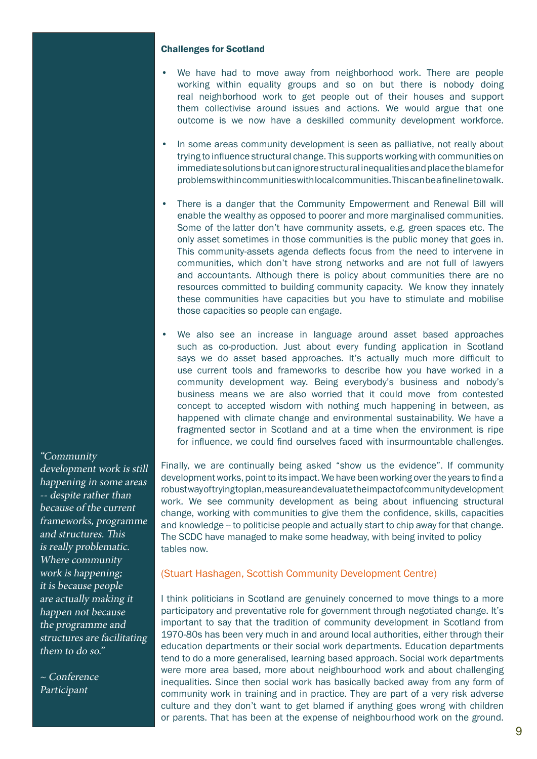#### Challenges for Scotland

- We have had to move away from neighborhood work. There are people working within equality groups and so on but there is nobody doing real neighborhood work to get people out of their houses and support them collectivise around issues and actions. We would argue that one outcome is we now have a deskilled community development workforce.
- In some areas community development is seen as palliative, not really about trying to influence structural change. This supports working with communities on immediate solutions but can ignore structural inequalities and place the blame for problems within communities with local communities. This can be a fine line to walk.
- There is a danger that the Community Empowerment and Renewal Bill will enable the wealthy as opposed to poorer and more marginalised communities. Some of the latter don't have community assets, e.g. green spaces etc. The only asset sometimes in those communities is the public money that goes in. This community-assets agenda deflects focus from the need to intervene in communities, which don't have strong networks and are not full of lawyers and accountants. Although there is policy about communities there are no resources committed to building community capacity. We know they innately these communities have capacities but you have to stimulate and mobilise those capacities so people can engage.
- We also see an increase in language around asset based approaches such as co-production. Just about every funding application in Scotland says we do asset based approaches. It's actually much more difficult to use current tools and frameworks to describe how you have worked in a community development way. Being everybody's business and nobody's business means we are also worried that it could move from contested concept to accepted wisdom with nothing much happening in between, as happened with climate change and environmental sustainability. We have a fragmented sector in Scotland and at a time when the environment is ripe for influence, we could find ourselves faced with insurmountable challenges.

Finally, we are continually being asked "show us the evidence". If community development works, point to its impact. We have been working over the years to find a robust way of trying to plan, measure and evaluate the impact of community development work. We see community development as being about influencing structural change, working with communities to give them the confidence, skills, capacities and knowledge -- to politicise people and actually start to chip away for that change. The SCDC have managed to make some headway, with being invited to policy tables now.

#### (Stuart Hashagen, Scottish Community Development Centre)

I think politicians in Scotland are genuinely concerned to move things to a more participatory and preventative role for government through negotiated change. It's important to say that the tradition of community development in Scotland from 1970-80s has been very much in and around local authorities, either through their education departments or their social work departments. Education departments tend to do a more generalised, learning based approach. Social work departments were more area based, more about neighbourhood work and about challenging inequalities. Since then social work has basically backed away from any form of community work in training and in practice. They are part of a very risk adverse culture and they don't want to get blamed if anything goes wrong with children or parents. That has been at the expense of neighbourhood work on the ground.

#### "Community

development work is still happening in some areas -- despite rather than because of the current frameworks, programme and structures. This is really problematic. Where community work is happening; it is because people are actually making it happen not because the programme and structures are facilitating them to do so."

~ Conference Participant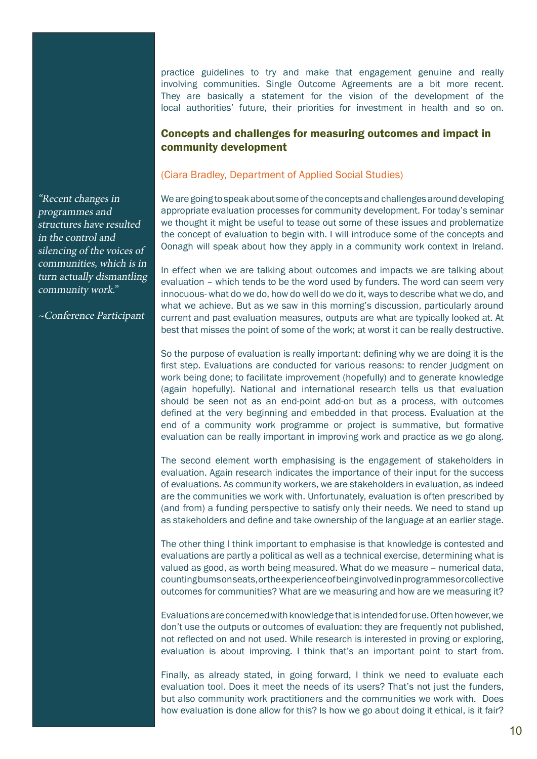practice guidelines to try and make that engagement genuine and really involving communities. Single Outcome Agreements are a bit more recent. They are basically a statement for the vision of the development of the local authorities' future, their priorities for investment in health and so on.

# Concepts and challenges for measuring outcomes and impact in community development

#### (Ciara Bradley, Department of Applied Social Studies)

We are going to speak about some of the concepts and challenges around developing appropriate evaluation processes for community development. For today's seminar we thought it might be useful to tease out some of these issues and problematize the concept of evaluation to begin with. I will introduce some of the concepts and Oonagh will speak about how they apply in a community work context in Ireland.

In effect when we are talking about outcomes and impacts we are talking about evaluation – which tends to be the word used by funders. The word can seem very innocuous- what do we do, how do well do we do it, ways to describe what we do, and what we achieve. But as we saw in this morning's discussion, particularly around current and past evaluation measures, outputs are what are typically looked at. At best that misses the point of some of the work; at worst it can be really destructive.

So the purpose of evaluation is really important: defining why we are doing it is the first step. Evaluations are conducted for various reasons: to render judgment on work being done; to facilitate improvement (hopefully) and to generate knowledge (again hopefully). National and international research tells us that evaluation should be seen not as an end-point add-on but as a process, with outcomes defined at the very beginning and embedded in that process. Evaluation at the end of a community work programme or project is summative, but formative evaluation can be really important in improving work and practice as we go along.

The second element worth emphasising is the engagement of stakeholders in evaluation. Again research indicates the importance of their input for the success of evaluations. As community workers, we are stakeholders in evaluation, as indeed are the communities we work with. Unfortunately, evaluation is often prescribed by (and from) a funding perspective to satisfy only their needs. We need to stand up as stakeholders and define and take ownership of the language at an earlier stage.

The other thing I think important to emphasise is that knowledge is contested and evaluations are partly a political as well as a technical exercise, determining what is valued as good, as worth being measured. What do we measure -- numerical data, counting bums on seats, or the experience of being involved in programmes or collective outcomes for communities? What are we measuring and how are we measuring it?

Evaluations are concerned with knowledge that is intended for use. Often however, we don't use the outputs or outcomes of evaluation: they are frequently not published, not reflected on and not used. While research is interested in proving or exploring, evaluation is about improving. I think that's an important point to start from.

Finally, as already stated, in going forward, I think we need to evaluate each evaluation tool. Does it meet the needs of its users? That's not just the funders, but also community work practitioners and the communities we work with. Does how evaluation is done allow for this? Is how we go about doing it ethical, is it fair?

"Recent changes in programmes and structures have resulted in the control and silencing of the voices of communities, which is in turn actually dismantling community work."

~Conference Participant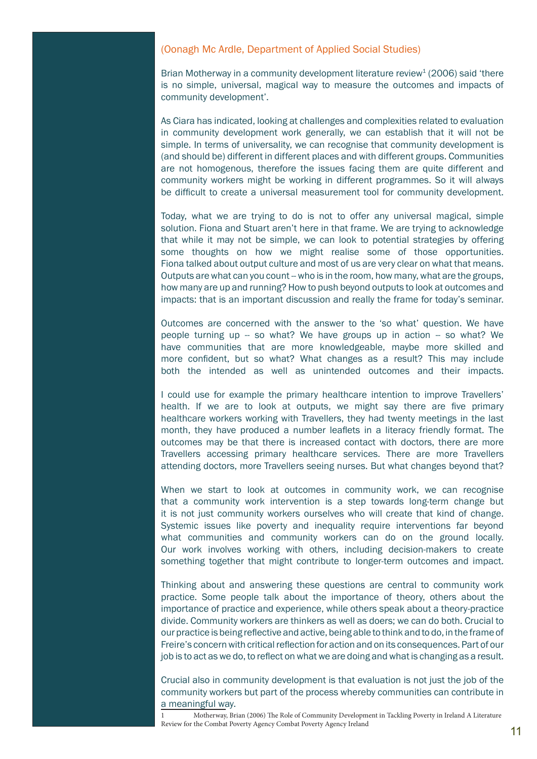#### (Oonagh Mc Ardle, Department of Applied Social Studies)

Brian Motherway in a community development literature review<sup>1</sup> (2006) said 'there is no simple, universal, magical way to measure the outcomes and impacts of community development'.

As Ciara has indicated, looking at challenges and complexities related to evaluation in community development work generally, we can establish that it will not be simple. In terms of universality, we can recognise that community development is (and should be) different in different places and with different groups. Communities are not homogenous, therefore the issues facing them are quite different and community workers might be working in different programmes. So it will always be difficult to create a universal measurement tool for community development.

Today, what we are trying to do is not to offer any universal magical, simple solution. Fiona and Stuart aren't here in that frame. We are trying to acknowledge that while it may not be simple, we can look to potential strategies by offering some thoughts on how we might realise some of those opportunities. Fiona talked about output culture and most of us are very clear on what that means. Outputs are what can you count -- who is in the room, how many, what are the groups, how many are up and running? How to push beyond outputs to look at outcomes and impacts: that is an important discussion and really the frame for today's seminar.

Outcomes are concerned with the answer to the 'so what' question. We have people turning up -- so what? We have groups up in action -- so what? We have communities that are more knowledgeable, maybe more skilled and more confident, but so what? What changes as a result? This may include both the intended as well as unintended outcomes and their impacts.

I could use for example the primary healthcare intention to improve Travellers' health. If we are to look at outputs, we might say there are five primary healthcare workers working with Travellers, they had twenty meetings in the last month, they have produced a number leaflets in a literacy friendly format. The outcomes may be that there is increased contact with doctors, there are more Travellers accessing primary healthcare services. There are more Travellers attending doctors, more Travellers seeing nurses. But what changes beyond that?

When we start to look at outcomes in community work, we can recognise that a community work intervention is a step towards long-term change but it is not just community workers ourselves who will create that kind of change. Systemic issues like poverty and inequality require interventions far beyond what communities and community workers can do on the ground locally. Our work involves working with others, including decision-makers to create something together that might contribute to longer-term outcomes and impact.

Thinking about and answering these questions are central to community work practice. Some people talk about the importance of theory, others about the importance of practice and experience, while others speak about a theory-practice divide. Community workers are thinkers as well as doers; we can do both. Crucial to our practice is being reflective and active, being able to think and to do, in the frame of Freire's concern with critical reflection for action and on its consequences. Part of our job is to act as we do, to reflect on what we are doing and what is changing as a result.

Crucial also in community development is that evaluation is not just the job of the community workers but part of the process whereby communities can contribute in a meaningful way.

1 Motherway, Brian (2006) The Role of Community Development in Tackling Poverty in Ireland A Literature Review for the Combat Poverty Agency Combat Poverty Agency Ireland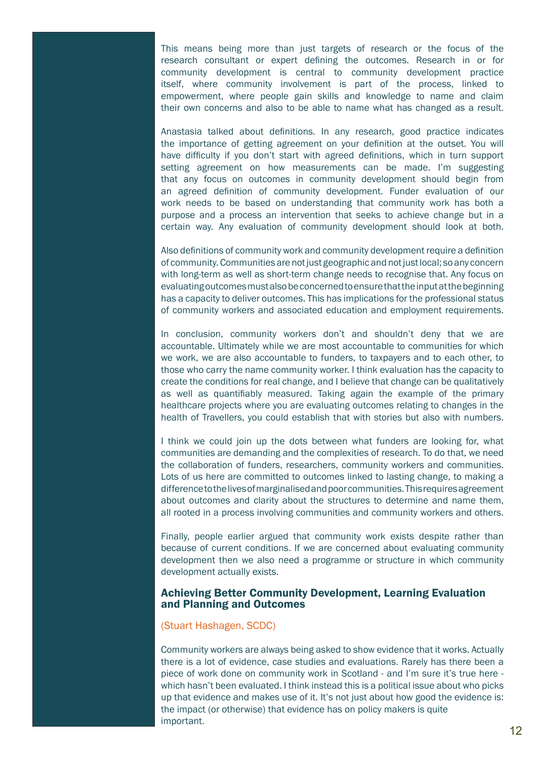This means being more than just targets of research or the focus of the research consultant or expert defining the outcomes. Research in or for community development is central to community development practice itself, where community involvement is part of the process, linked to empowerment, where people gain skills and knowledge to name and claim their own concerns and also to be able to name what has changed as a result.

Anastasia talked about definitions. In any research, good practice indicates the importance of getting agreement on your definition at the outset. You will have difficulty if you don't start with agreed definitions, which in turn support setting agreement on how measurements can be made. I'm suggesting that any focus on outcomes in community development should begin from an agreed definition of community development. Funder evaluation of our work needs to be based on understanding that community work has both a purpose and a process an intervention that seeks to achieve change but in a certain way. Any evaluation of community development should look at both.

Also definitions of community work and community development require a definition of community. Communities are not just geographic and not just local; so any concern with long-term as well as short-term change needs to recognise that. Any focus on evaluating outcomes must also be concerned to ensure that the input at the beginning has a capacity to deliver outcomes. This has implications for the professional status of community workers and associated education and employment requirements.

In conclusion, community workers don't and shouldn't deny that we are accountable. Ultimately while we are most accountable to communities for which we work, we are also accountable to funders, to taxpayers and to each other, to those who carry the name community worker. I think evaluation has the capacity to create the conditions for real change, and I believe that change can be qualitatively as well as quantifiably measured. Taking again the example of the primary healthcare projects where you are evaluating outcomes relating to changes in the health of Travellers, you could establish that with stories but also with numbers.

I think we could join up the dots between what funders are looking for, what communities are demanding and the complexities of research. To do that, we need the collaboration of funders, researchers, community workers and communities. Lots of us here are committed to outcomes linked to lasting change, to making a difference to the lives of marginalised and poor communities. This requires agreement about outcomes and clarity about the structures to determine and name them, all rooted in a process involving communities and community workers and others.

Finally, people earlier argued that community work exists despite rather than because of current conditions. If we are concerned about evaluating community development then we also need a programme or structure in which community development actually exists.

#### Achieving Better Community Development, Learning Evaluation and Planning and Outcomes

#### (Stuart Hashagen, SCDC)

Community workers are always being asked to show evidence that it works. Actually there is a lot of evidence, case studies and evaluations. Rarely has there been a piece of work done on community work in Scotland - and I'm sure it's true here which hasn't been evaluated. I think instead this is a political issue about who picks up that evidence and makes use of it. It's not just about how good the evidence is: the impact (or otherwise) that evidence has on policy makers is quite important.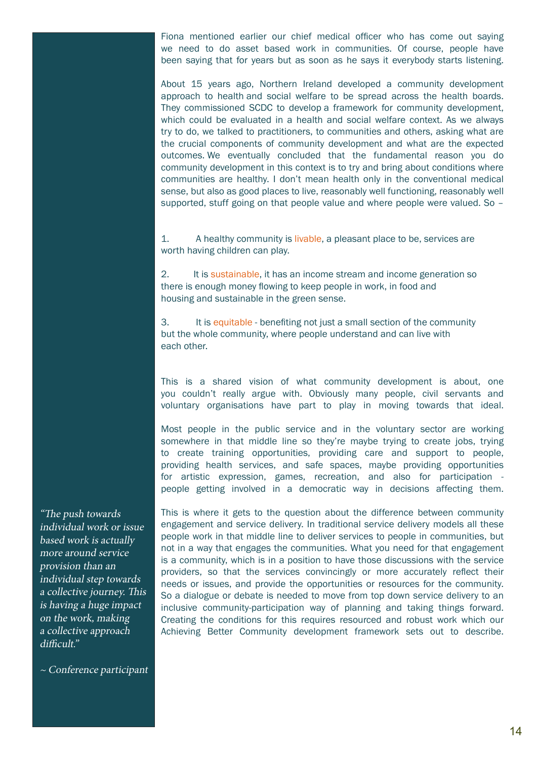Fiona mentioned earlier our chief medical officer who has come out saying we need to do asset based work in communities. Of course, people have been saying that for years but as soon as he says it everybody starts listening.

About 15 years ago, Northern Ireland developed a community development approach to health and social welfare to be spread across the health boards. They commissioned SCDC to develop a framework for community development, which could be evaluated in a health and social welfare context. As we always try to do, we talked to practitioners, to communities and others, asking what are the crucial components of community development and what are the expected outcomes. We eventually concluded that the fundamental reason you do community development in this context is to try and bring about conditions where communities are healthy. I don't mean health only in the conventional medical sense, but also as good places to live, reasonably well functioning, reasonably well supported, stuff going on that people value and where people were valued. So –

1. A healthy community is livable, a pleasant place to be, services are worth having children can play.

2. It is sustainable, it has an income stream and income generation so there is enough money flowing to keep people in work, in food and housing and sustainable in the green sense.

3. It is equitable - benefiting not just a small section of the community but the whole community, where people understand and can live with each other.

This is a shared vision of what community development is about, one you couldn't really argue with. Obviously many people, civil servants and voluntary organisations have part to play in moving towards that ideal.

Most people in the public service and in the voluntary sector are working somewhere in that middle line so they're maybe trying to create jobs, trying to create training opportunities, providing care and support to people, providing health services, and safe spaces, maybe providing opportunities for artistic expression, games, recreation, and also for participation people getting involved in a democratic way in decisions affecting them.

This is where it gets to the question about the difference between community engagement and service delivery. In traditional service delivery models all these people work in that middle line to deliver services to people in communities, but not in a way that engages the communities. What you need for that engagement is a community, which is in a position to have those discussions with the service providers, so that the services convincingly or more accurately reflect their needs or issues, and provide the opportunities or resources for the community. So a dialogue or debate is needed to move from top down service delivery to an inclusive community-participation way of planning and taking things forward. Creating the conditions for this requires resourced and robust work which our Achieving Better Community development framework sets out to describe.

"The push towards individual work or issue based work is actually more around service provision than an individual step towards a collective journey. This is having a huge impact on the work, making a collective approach difficult."

~ Conference participant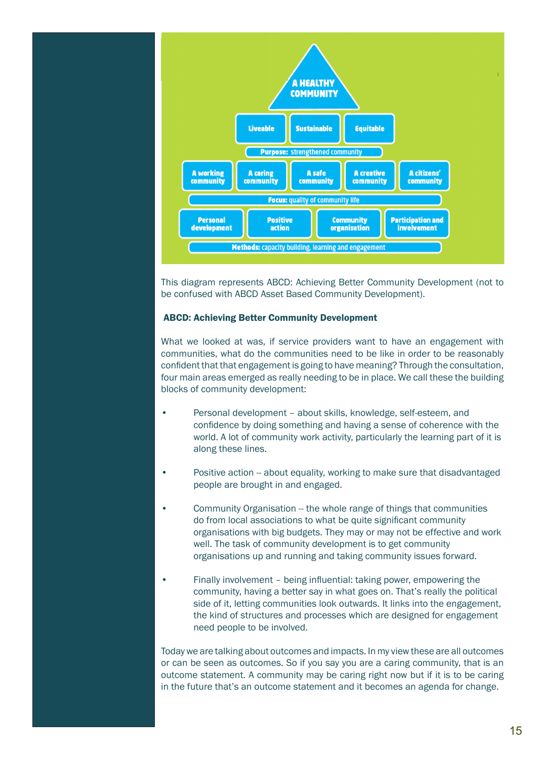

This diagram represents ABCD: Achieving Better Community Development (not to be confused with ABCD Asset Based Community Development).

#### ABCD: Achieving Better Community Development

What we looked at was, if service providers want to have an engagement with communities, what do the communities need to be like in order to be reasonably confident that that engagement is going to have meaning? Through the consultation, four main areas emerged as really needing to be in place. We call these the building blocks of community development:

- Personal development about skills, knowledge, self-esteem, and confidence by doing something and having a sense of coherence with the world. A lot of community work activity, particularly the learning part of it is along these lines.
- Positive action -- about equality, working to make sure that disadvantaged people are brought in and engaged.
- Community Organisation -- the whole range of things that communities do from local associations to what be quite significant community organisations with big budgets. They may or may not be effective and work well. The task of community development is to get community organisations up and running and taking community issues forward.
- Finally involvement being influential: taking power, empowering the community, having a better say in what goes on. That's really the political side of it, letting communities look outwards. It links into the engagement, the kind of structures and processes which are designed for engagement need people to be involved.

Today we are talking about outcomes and impacts. In my view these are all outcomes or can be seen as outcomes. So if you say you are a caring community, that is an outcome statement. A community may be caring right now but if it is to be caring in the future that's an outcome statement and it becomes an agenda for change.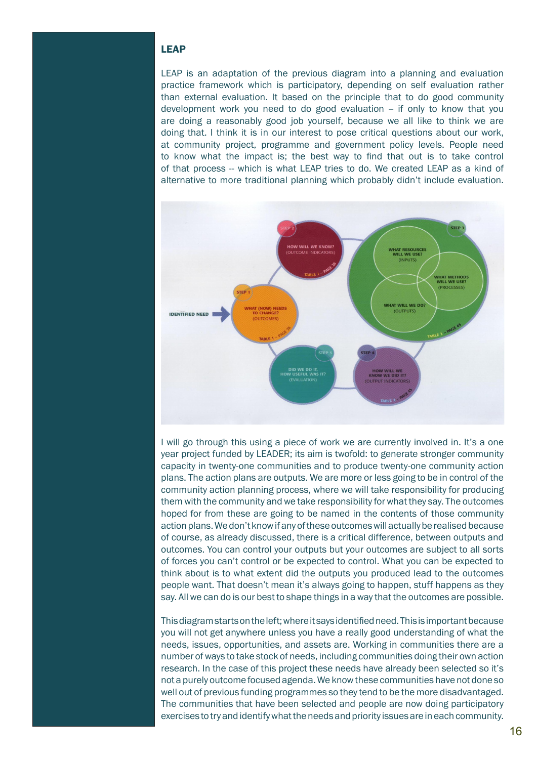## LEAP

LEAP is an adaptation of the previous diagram into a planning and evaluation practice framework which is participatory, depending on self evaluation rather than external evaluation. It based on the principle that to do good community development work you need to do good evaluation -- if only to know that you are doing a reasonably good job yourself, because we all like to think we are doing that. I think it is in our interest to pose critical questions about our work, at community project, programme and government policy levels. People need to know what the impact is; the best way to find that out is to take control of that process -- which is what LEAP tries to do. We created LEAP as a kind of alternative to more traditional planning which probably didn't include evaluation.



I will go through this using a piece of work we are currently involved in. It's a one year project funded by LEADER; its aim is twofold: to generate stronger community capacity in twenty-one communities and to produce twenty-one community action plans. The action plans are outputs. We are more or less going to be in control of the community action planning process, where we will take responsibility for producing them with the community and we take responsibility for what they say. The outcomes hoped for from these are going to be named in the contents of those community action plans. We don't know if any of these outcomes will actually be realised because of course, as already discussed, there is a critical difference, between outputs and outcomes. You can control your outputs but your outcomes are subject to all sorts of forces you can't control or be expected to control. What you can be expected to think about is to what extent did the outputs you produced lead to the outcomes people want. That doesn't mean it's always going to happen, stuff happens as they say. All we can do is our best to shape things in a way that the outcomes are possible.

This diagram starts on the left; where it says identified need. This is important because you will not get anywhere unless you have a really good understanding of what the needs, issues, opportunities, and assets are. Working in communities there are a number of ways to take stock of needs, including communities doing their own action research. In the case of this project these needs have already been selected so it's not a purely outcome focused agenda. We know these communities have not done so well out of previous funding programmes so they tend to be the more disadvantaged. The communities that have been selected and people are now doing participatory exercises to try and identify what the needs and priority issues are in each community.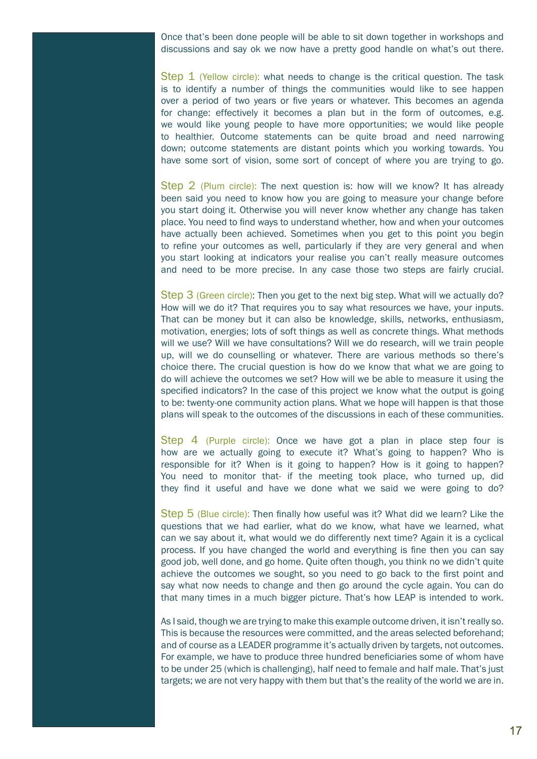Once that's been done people will be able to sit down together in workshops and discussions and say ok we now have a pretty good handle on what's out there.

Step 1 (Yellow circle): what needs to change is the critical question. The task is to identify a number of things the communities would like to see happen over a period of two years or five years or whatever. This becomes an agenda for change: effectively it becomes a plan but in the form of outcomes, e.g. we would like young people to have more opportunities; we would like people to healthier. Outcome statements can be quite broad and need narrowing down; outcome statements are distant points which you working towards. You have some sort of vision, some sort of concept of where you are trying to go.

Step 2 (Plum circle): The next question is: how will we know? It has already been said you need to know how you are going to measure your change before you start doing it. Otherwise you will never know whether any change has taken place. You need to find ways to understand whether, how and when your outcomes have actually been achieved. Sometimes when you get to this point you begin to refine your outcomes as well, particularly if they are very general and when you start looking at indicators your realise you can't really measure outcomes and need to be more precise. In any case those two steps are fairly crucial.

Step 3 (Green circle): Then you get to the next big step. What will we actually do? How will we do it? That requires you to say what resources we have, your inputs. That can be money but it can also be knowledge, skills, networks, enthusiasm, motivation, energies; lots of soft things as well as concrete things. What methods will we use? Will we have consultations? Will we do research, will we train people up, will we do counselling or whatever. There are various methods so there's choice there. The crucial question is how do we know that what we are going to do will achieve the outcomes we set? How will we be able to measure it using the specified indicators? In the case of this project we know what the output is going to be: twenty-one community action plans. What we hope will happen is that those plans will speak to the outcomes of the discussions in each of these communities.

Step 4 (Purple circle): Once we have got a plan in place step four is how are we actually going to execute it? What's going to happen? Who is responsible for it? When is it going to happen? How is it going to happen? You need to monitor that- if the meeting took place, who turned up, did they find it useful and have we done what we said we were going to do?

Step 5 (Blue circle): Then finally how useful was it? What did we learn? Like the questions that we had earlier, what do we know, what have we learned, what can we say about it, what would we do differently next time? Again it is a cyclical process. If you have changed the world and everything is fine then you can say good job, well done, and go home. Quite often though, you think no we didn't quite achieve the outcomes we sought, so you need to go back to the first point and say what now needs to change and then go around the cycle again. You can do that many times in a much bigger picture. That's how LEAP is intended to work.

As I said, though we are trying to make this example outcome driven, it isn't really so. This is because the resources were committed, and the areas selected beforehand; and of course as a LEADER programme it's actually driven by targets, not outcomes. For example, we have to produce three hundred beneficiaries some of whom have to be under 25 (which is challenging), half need to female and half male. That's just targets; we are not very happy with them but that's the reality of the world we are in.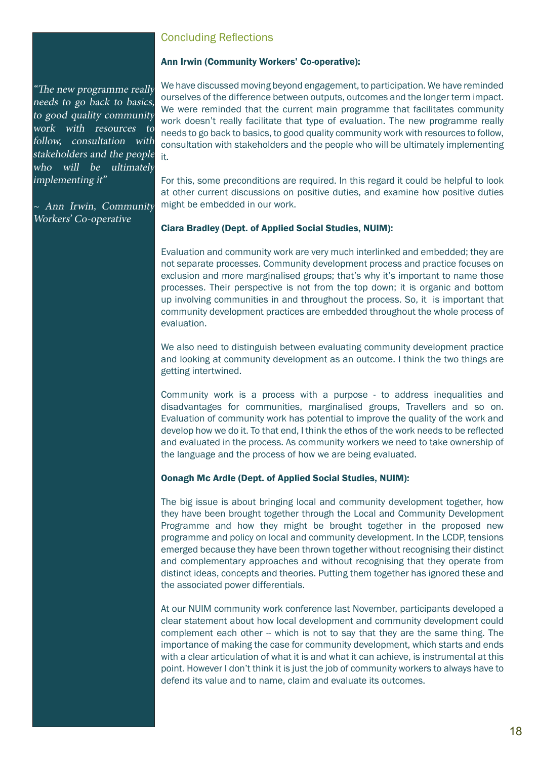# Concluding Reflections

### Ann Irwin (Community Workers' Co-operative):

"The new programme really needs to go back to basics, to good quality community work with resources to follow, consultation with stakeholders and the people who will be ultimately implementing it"

~ Ann Irwin, Community Workers' Co-operative

We have discussed moving beyond engagement, to participation. We have reminded ourselves of the difference between outputs, outcomes and the longer term impact. We were reminded that the current main programme that facilitates community work doesn't really facilitate that type of evaluation. The new programme really needs to go back to basics, to good quality community work with resources to follow, consultation with stakeholders and the people who will be ultimately implementing it.

For this, some preconditions are required. In this regard it could be helpful to look at other current discussions on positive duties, and examine how positive duties might be embedded in our work.

#### Ciara Bradley (Dept. of Applied Social Studies, NUIM):

Evaluation and community work are very much interlinked and embedded; they are not separate processes. Community development process and practice focuses on exclusion and more marginalised groups; that's why it's important to name those processes. Their perspective is not from the top down; it is organic and bottom up involving communities in and throughout the process. So, it is important that community development practices are embedded throughout the whole process of evaluation.

We also need to distinguish between evaluating community development practice and looking at community development as an outcome. I think the two things are getting intertwined.

Community work is a process with a purpose - to address inequalities and disadvantages for communities, marginalised groups, Travellers and so on. Evaluation of community work has potential to improve the quality of the work and develop how we do it. To that end, I think the ethos of the work needs to be reflected and evaluated in the process. As community workers we need to take ownership of the language and the process of how we are being evaluated.

#### Oonagh Mc Ardle (Dept. of Applied Social Studies, NUIM):

The big issue is about bringing local and community development together, how they have been brought together through the Local and Community Development Programme and how they might be brought together in the proposed new programme and policy on local and community development. In the LCDP, tensions emerged because they have been thrown together without recognising their distinct and complementary approaches and without recognising that they operate from distinct ideas, concepts and theories. Putting them together has ignored these and the associated power differentials.

At our NUIM community work conference last November, participants developed a clear statement about how local development and community development could complement each other -- which is not to say that they are the same thing. The importance of making the case for community development, which starts and ends with a clear articulation of what it is and what it can achieve, is instrumental at this point. However I don't think it is just the job of community workers to always have to defend its value and to name, claim and evaluate its outcomes.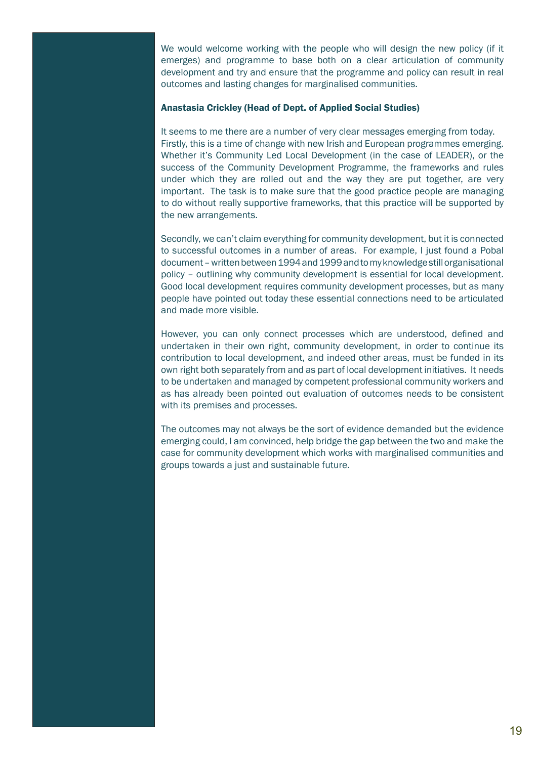We would welcome working with the people who will design the new policy (if it emerges) and programme to base both on a clear articulation of community development and try and ensure that the programme and policy can result in real outcomes and lasting changes for marginalised communities.

#### Anastasia Crickley (Head of Dept. of Applied Social Studies)

It seems to me there are a number of very clear messages emerging from today. Firstly, this is a time of change with new Irish and European programmes emerging. Whether it's Community Led Local Development (in the case of LEADER), or the success of the Community Development Programme, the frameworks and rules under which they are rolled out and the way they are put together, are very important. The task is to make sure that the good practice people are managing to do without really supportive frameworks, that this practice will be supported by the new arrangements.

Secondly, we can't claim everything for community development, but it is connected to successful outcomes in a number of areas. For example, I just found a Pobal document – written between 1994 and 1999 and to my knowledge still organisational policy – outlining why community development is essential for local development. Good local development requires community development processes, but as many people have pointed out today these essential connections need to be articulated and made more visible.

However, you can only connect processes which are understood, defined and undertaken in their own right, community development, in order to continue its contribution to local development, and indeed other areas, must be funded in its own right both separately from and as part of local development initiatives. It needs to be undertaken and managed by competent professional community workers and as has already been pointed out evaluation of outcomes needs to be consistent with its premises and processes.

The outcomes may not always be the sort of evidence demanded but the evidence emerging could, I am convinced, help bridge the gap between the two and make the case for community development which works with marginalised communities and groups towards a just and sustainable future.